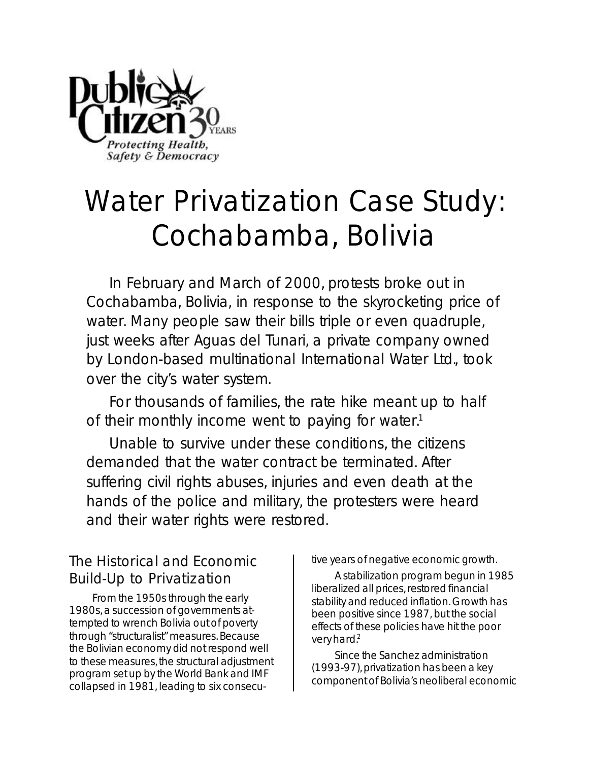

# **Water Privatization Case Study: Cochabamba, Bolivia**

In February and March of 2000, protests broke out in Cochabamba, Bolivia, in response to the skyrocketing price of water. Many people saw their bills triple or even quadruple, just weeks after Aguas del Tunari, a private company owned by London-based multinational International Water Ltd., took over the city's water system.

For thousands of families, the rate hike meant up to half of their monthly income went to paying for water.<sup>1</sup>

Unable to survive under these conditions, the citizens demanded that the water contract be terminated. After suffering civil rights abuses, injuries and even death at the hands of the police and military, the protesters were heard and their water rights were restored.

## **The Historical and Economic Build-Up to Privatization**

From the 1950s through the early 1980s, a succession of governments attempted to wrench Bolivia out of poverty through "structuralist" measures. Because the Bolivian economy did not respond well to these measures, the structural adjustment program set up by the World Bank and IMF collapsed in 1981, leading to six consecutive years of negative economic growth.

A stabilization program begun in 1985 liberalized all prices, restored financial stability and reduced inflation. Growth has been positive since 1987, but the social effects of these policies have hit the poor very hard.<sup>2</sup>

Since the Sanchez administration (1993-97), privatization has been a key component of Bolivia's neoliberal economic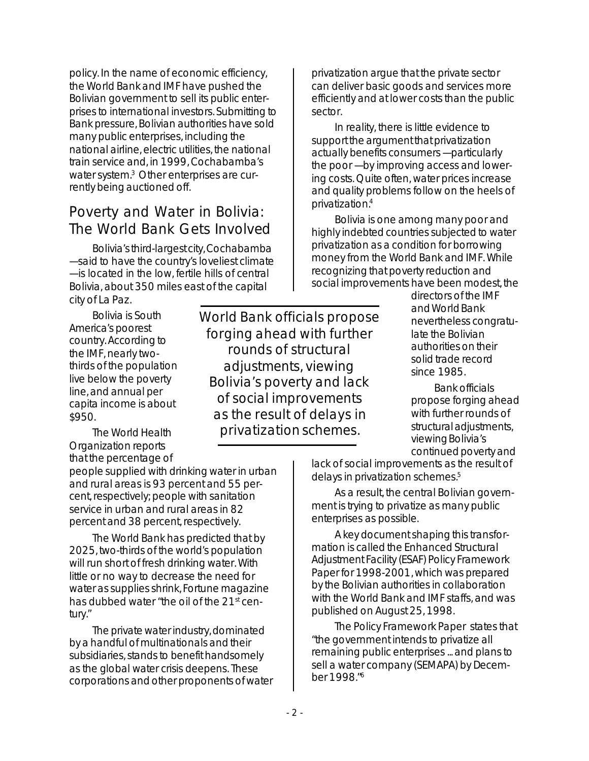policy. In the name of economic efficiency, the World Bank and IMF have pushed the Bolivian government to sell its public enterprises to international investors. Submitting to Bank pressure, Bolivian authorities have sold many public enterprises, including the national airline, electric utilities, the national train service and, in 1999, Cochabamba's water system.<sup>3</sup> Other enterprises are currently being auctioned off.

#### **Poverty and Water in Bolivia: The World Bank Gets Involved**

Bolivia's third-largest city, Cochabamba — said to have the country's loveliest climate — is located in the low, fertile hills of central Bolivia, about 350 miles east of the capital city of La Paz.

Bolivia is South America's poorest country. According to the IMF, nearly twothirds of the population live below the poverty line, and annual per capita income is about \$950.

The World Health Organization reports that the percentage of

people supplied with drinking water in urban and rural areas is 93 percent and 55 percent, respectively; people with sanitation service in urban and rural areas in 82 percent and 38 percent, respectively.

The World Bank has predicted that by 2025, two-thirds of the world's population will run short of fresh drinking water. With little or no way to decrease the need for water as supplies shrink, Fortune magazine has dubbed water "the oil of the 21<sup>st</sup> century."

The private water industry, dominated by a handful of multinationals and their subsidiaries, stands to benefit handsomely as the global water crisis deepens. These corporations and other proponents of water

**World Bank officials propose forging ahead with further rounds of structural adjustments, viewing Bolivia's poverty and lack of social improvements as the result of delays in privatization schemes.**

privatization argue that the private sector can deliver basic goods and services more efficiently and at lower costs than the public sector.

In reality, there is little evidence to support the argument that privatization actually benefits consumers — particularly the poor — by improving access and lowering costs. Quite often, water prices increase and quality problems follow on the heels of privatization.<sup>4</sup>

Bolivia is one among many poor and highly indebted countries subjected to water privatization as a condition for borrowing money from the World Bank and IMF. While recognizing that poverty reduction and social improvements have been modest, the

> directors of the IMF and World Bank nevertheless congratulate the Bolivian authorities on their solid trade record since 1985.

Bank officials propose forging ahead with further rounds of structural adjustments, viewing Bolivia's continued poverty and

lack of social improvements as the result of delays in privatization schemes.<sup>5</sup>

As a result, the central Bolivian government is trying to privatize as many public enterprises as possible.

A key document shaping this transformation is called the Enhanced Structural Adjustment Facility (ESAF) Policy Framework Paper for 1998-2001, which was prepared by the Bolivian authorities in collaboration with the World Bank and IMF staffs, and was published on August 25, 1998.

The Policy Framework Paper states that "the government intends to privatize all remaining public enterprises ... and plans to sell a water company (SEMAPA) by December 1998."<sup>6</sup>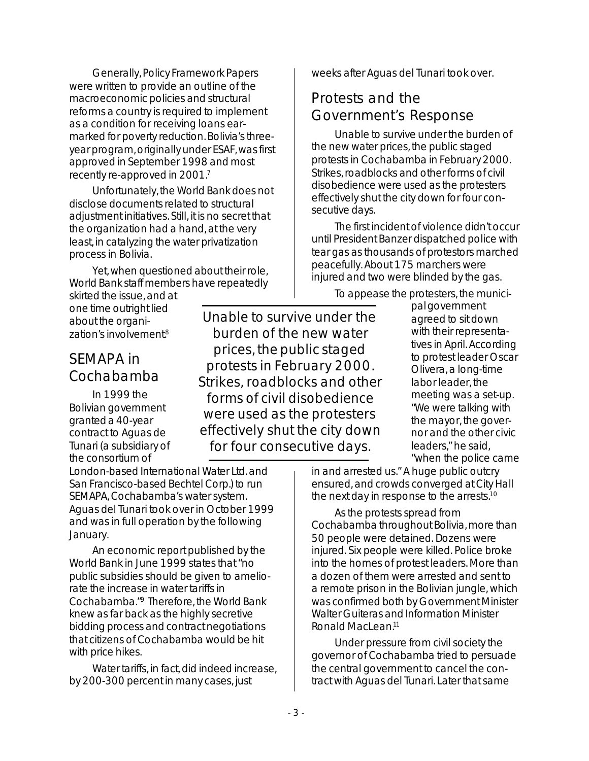Generally, Policy Framework Papers were written to provide an outline of the macroeconomic policies and structural reforms a country is required to implement as a condition for receiving loans earmarked for poverty reduction. Bolivia's threeyear program, originally under ESAF, was first approved in September 1998 and most recently re-approved in 2001.<sup>7</sup>

Unfortunately, the World Bank does not disclose documents related to structural adjustment initiatives. Still, it is no secret that the organization had a hand, at the very least, in catalyzing the water privatization process in Bolivia.

Yet, when questioned about their role, World Bank staff members have repeatedly

skirted the issue, and at one time outright lied about the organization's involvement.<sup>8</sup>

## **SEMAPA in Cochabamba**

In 1999 the Bolivian government granted a 40-year contract to Aguas de Tunari (a subsidiary of the consortium of

**Unable to survive under the burden of the new water prices, the public staged protests in February 2000. Strikes, roadblocks and other forms of civil disobedience were used as the protesters effectively shut the city down for four consecutive days.**

London-based International Water Ltd. and San Francisco-based Bechtel Corp.) to run SEMAPA, Cochabamba's water system. Aguas del Tunari took over in October 1999 and was in full operation by the following January.

An economic report published by the World Bank in June 1999 states that "no public subsidies should be given to ameliorate the increase in water tariffs in Cochabamba."<sup>9</sup> Therefore, the World Bank knew as far back as the highly secretive bidding process and contract negotiations that citizens of Cochabamba would be hit with price hikes.

Water tariffs, in fact, did indeed increase, by 200-300 percent in many cases, just

weeks after Aguas del Tunari took over.

## **Protests and the Government's Response**

Unable to survive under the burden of the new water prices, the public staged protests in Cochabamba in February 2000. Strikes, roadblocks and other forms of civil disobedience were used as the protesters effectively shut the city down for four consecutive days.

The first incident of violence didn't occur until President Banzer dispatched police with tear gas as thousands of protestors marched peacefully. About 175 marchers were injured and two were blinded by the gas.

To appease the protesters, the munici-

pal government agreed to sit down with their representatives in April. According to protest leader Oscar Olivera, a long-time labor leader, the meeting was a set-up. "We were talking with the mayor, the governor and the other civic leaders," he said, "when the police came

in and arrested us." A huge public outcry ensured, and crowds converged at City Hall the next day in response to the arrests.<sup>10</sup>

As the protests spread from Cochabamba throughout Bolivia, more than 50 people were detained. Dozens were injured. Six people were killed. Police broke into the homes of protest leaders. More than a dozen of them were arrested and sent to a remote prison in the Bolivian jungle, which was confirmed both by Government Minister Walter Guiteras and Information Minister Ronald MacLean.<sup>11</sup>

Under pressure from civil society the governor of Cochabamba tried to persuade the central government to cancel the contract with Aguas del Tunari. Later that same